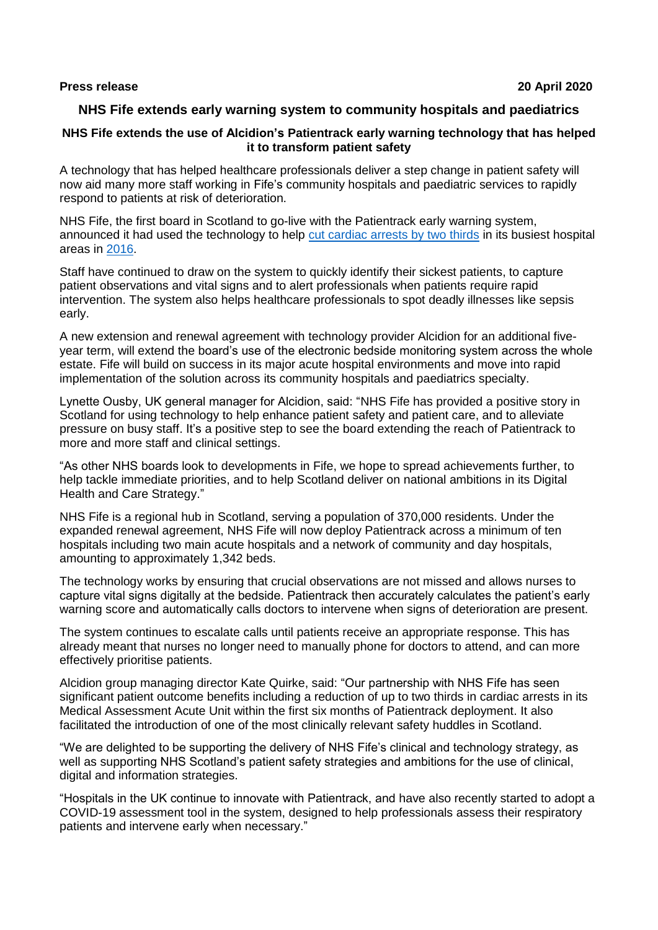#### **Press release 20 April 2020**

# **NHS Fife extends early warning system to community hospitals and paediatrics**

## **NHS Fife extends the use of Alcidion's Patientrack early warning technology that has helped it to transform patient safety**

A technology that has helped healthcare professionals deliver a step change in patient safety will now aid many more staff working in Fife's community hospitals and paediatric services to rapidly respond to patients at risk of deterioration.

NHS Fife, the first board in Scotland to go-live with the Patientrack early warning system, announced it had used the technology to help [cut cardiac arrests by](https://nhsfife.org/nhs/index.cfm?fuseaction=nhs.newsdisplay&objectid=32C0CF3C-C99D-446A-1643CC5DAB9C5689) two thirds in its busiest hospital areas in [2016.](https://www.digitalhealth.net/2016/03/e-observations-reduce-cardiac-arrests-in-scottish-hospital/)

Staff have continued to draw on the system to quickly identify their sickest patients, to capture patient observations and vital signs and to alert professionals when patients require rapid intervention. The system also helps healthcare professionals to spot deadly illnesses like sepsis early.

A new extension and renewal agreement with technology provider Alcidion for an additional fiveyear term, will extend the board's use of the electronic bedside monitoring system across the whole estate. Fife will build on success in its major acute hospital environments and move into rapid implementation of the solution across its community hospitals and paediatrics specialty.

Lynette Ousby, UK general manager for Alcidion, said: "NHS Fife has provided a positive story in Scotland for using technology to help enhance patient safety and patient care, and to alleviate pressure on busy staff. It's a positive step to see the board extending the reach of Patientrack to more and more staff and clinical settings.

"As other NHS boards look to developments in Fife, we hope to spread achievements further, to help tackle immediate priorities, and to help Scotland deliver on national ambitions in its Digital Health and Care Strategy."

NHS Fife is a regional hub in Scotland, serving a population of 370,000 residents. Under the expanded renewal agreement, NHS Fife will now deploy Patientrack across a minimum of ten hospitals including two main acute hospitals and a network of community and day hospitals, amounting to approximately 1,342 beds.

The technology works by ensuring that crucial observations are not missed and allows nurses to capture vital signs digitally at the bedside. Patientrack then accurately calculates the patient's early warning score and automatically calls doctors to intervene when signs of deterioration are present.

The system continues to escalate calls until patients receive an appropriate response. This has already meant that nurses no longer need to manually phone for doctors to attend, and can more effectively prioritise patients.

Alcidion group managing director Kate Quirke, said: "Our partnership with NHS Fife has seen significant patient outcome benefits including a reduction of up to two thirds in cardiac arrests in its Medical Assessment Acute Unit within the first six months of Patientrack deployment. It also facilitated the introduction of one of the most clinically relevant safety huddles in Scotland.

"We are delighted to be supporting the delivery of NHS Fife's clinical and technology strategy, as well as supporting NHS Scotland's patient safety strategies and ambitions for the use of clinical, digital and information strategies.

"Hospitals in the UK continue to innovate with Patientrack, and have also recently started to adopt a COVID-19 assessment tool in the system, designed to help professionals assess their respiratory patients and intervene early when necessary."